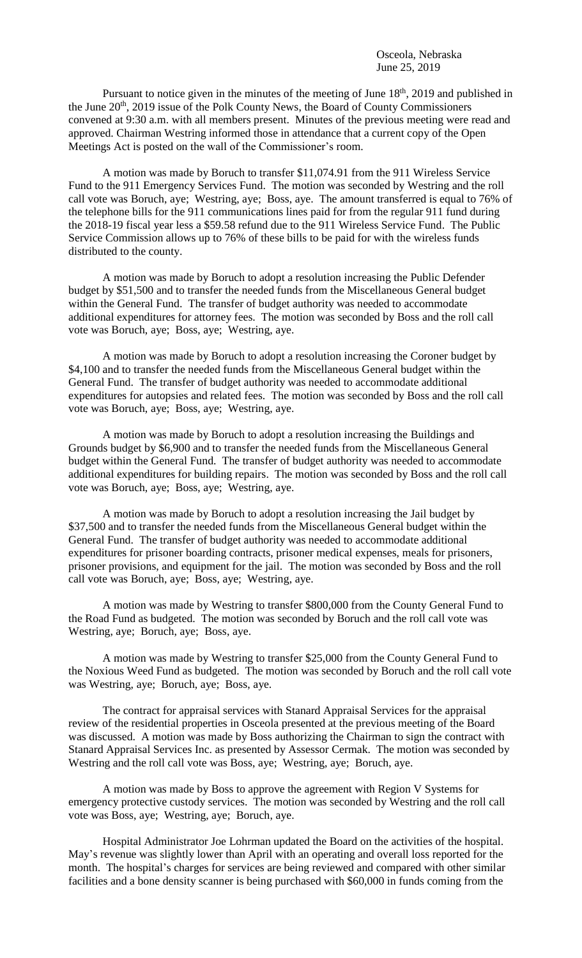Pursuant to notice given in the minutes of the meeting of June 18<sup>th</sup>, 2019 and published in the June 20<sup>th</sup>, 2019 issue of the Polk County News, the Board of County Commissioners convened at 9:30 a.m. with all members present. Minutes of the previous meeting were read and approved. Chairman Westring informed those in attendance that a current copy of the Open Meetings Act is posted on the wall of the Commissioner's room.

A motion was made by Boruch to transfer \$11,074.91 from the 911 Wireless Service Fund to the 911 Emergency Services Fund. The motion was seconded by Westring and the roll call vote was Boruch, aye; Westring, aye; Boss, aye. The amount transferred is equal to 76% of the telephone bills for the 911 communications lines paid for from the regular 911 fund during the 2018-19 fiscal year less a \$59.58 refund due to the 911 Wireless Service Fund. The Public Service Commission allows up to 76% of these bills to be paid for with the wireless funds distributed to the county.

A motion was made by Boruch to adopt a resolution increasing the Public Defender budget by \$51,500 and to transfer the needed funds from the Miscellaneous General budget within the General Fund. The transfer of budget authority was needed to accommodate additional expenditures for attorney fees. The motion was seconded by Boss and the roll call vote was Boruch, aye; Boss, aye; Westring, aye.

A motion was made by Boruch to adopt a resolution increasing the Coroner budget by \$4,100 and to transfer the needed funds from the Miscellaneous General budget within the General Fund. The transfer of budget authority was needed to accommodate additional expenditures for autopsies and related fees. The motion was seconded by Boss and the roll call vote was Boruch, aye; Boss, aye; Westring, aye.

A motion was made by Boruch to adopt a resolution increasing the Buildings and Grounds budget by \$6,900 and to transfer the needed funds from the Miscellaneous General budget within the General Fund. The transfer of budget authority was needed to accommodate additional expenditures for building repairs. The motion was seconded by Boss and the roll call vote was Boruch, aye; Boss, aye; Westring, aye.

A motion was made by Boruch to adopt a resolution increasing the Jail budget by \$37,500 and to transfer the needed funds from the Miscellaneous General budget within the General Fund. The transfer of budget authority was needed to accommodate additional expenditures for prisoner boarding contracts, prisoner medical expenses, meals for prisoners, prisoner provisions, and equipment for the jail. The motion was seconded by Boss and the roll call vote was Boruch, aye; Boss, aye; Westring, aye.

A motion was made by Westring to transfer \$800,000 from the County General Fund to the Road Fund as budgeted. The motion was seconded by Boruch and the roll call vote was Westring, aye; Boruch, aye; Boss, aye.

A motion was made by Westring to transfer \$25,000 from the County General Fund to the Noxious Weed Fund as budgeted. The motion was seconded by Boruch and the roll call vote was Westring, aye; Boruch, aye; Boss, aye.

The contract for appraisal services with Stanard Appraisal Services for the appraisal review of the residential properties in Osceola presented at the previous meeting of the Board was discussed. A motion was made by Boss authorizing the Chairman to sign the contract with Stanard Appraisal Services Inc. as presented by Assessor Cermak. The motion was seconded by Westring and the roll call vote was Boss, aye; Westring, aye; Boruch, aye.

A motion was made by Boss to approve the agreement with Region V Systems for emergency protective custody services. The motion was seconded by Westring and the roll call vote was Boss, aye; Westring, aye; Boruch, aye.

Hospital Administrator Joe Lohrman updated the Board on the activities of the hospital. May's revenue was slightly lower than April with an operating and overall loss reported for the month. The hospital's charges for services are being reviewed and compared with other similar facilities and a bone density scanner is being purchased with \$60,000 in funds coming from the